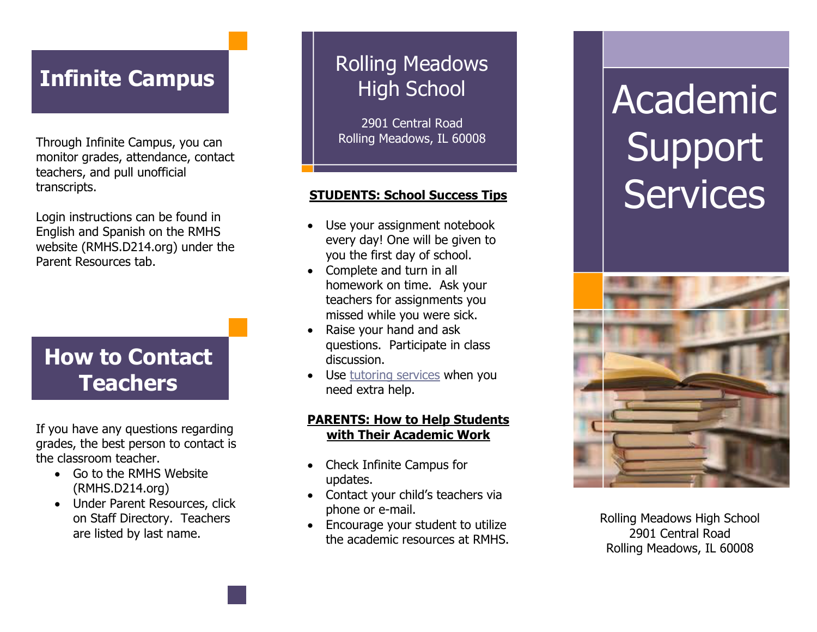# **Infinite Campus**

Through Infinite Campus, you can monitor grades, attendance, contact teachers, and pull unofficial transcripts.

Login instructions can be found in English and Spanish on the RMHS website (RMHS.D214.org) under the Parent Resources tab.

# **How to Contact Teachers**

If you have any questions regarding grades, the best person to contact is the classroom teacher.

- Go to the RMHS Website (RMHS.D214.org)
- Under Parent Resources, click on Staff Directory. Teachers are listed by last name.

# Rolling Meadows High School

2901 Central Road Rolling Meadows, IL 60008

- Use your assignment notebook every day! One will be given to you the first day of school.
- Complete and turn in all homework on time. Ask your teachers for assignments you missed while you were sick.
- Raise your hand and ask questions. Participate in class discussion.
- Use **tutoring services** when you need extra help.

## **PARENTS: How to Help Students with Their Academic Work**

- Check Infinite Campus for updates .
- Contact your child's teachers via phone or e -mail.
- Encourage your student to utilize the academic resources at RMHS.

# Academic Support **STUDENTS: School Success Tips** Services



Rolling Meadows High School 2901 Central Road Rolling Meadows, IL 60008